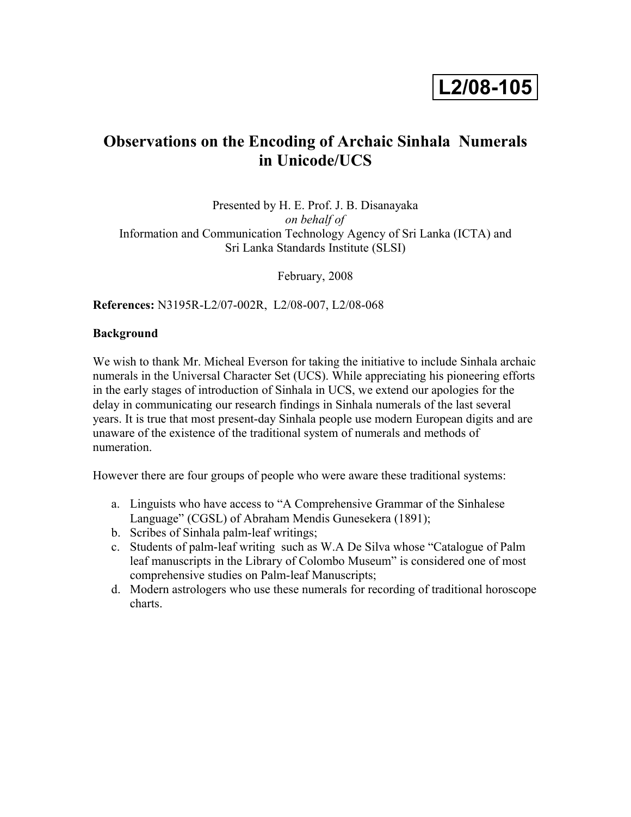# **L2/08-105**

# **Observations on the Encoding of Archaic Sinhala Numerals in Unicode/UCS**

Presented by H. E. Prof. J. B. Disanayaka *on behalf of* Information and Communication Technology Agency of Sri Lanka (ICTA) and Sri Lanka Standards Institute (SLSI)

February, 2008

**References:** N3195R-L2/07-002R, L2/08-007, L2/08-068

### **Background**

We wish to thank Mr. Micheal Everson for taking the initiative to include Sinhala archaic numerals in the Universal Character Set (UCS). While appreciating his pioneering efforts in the early stages of introduction of Sinhala in UCS, we extend our apologies for the delay in communicating our research findings in Sinhala numerals of the last several years. It is true that most present-day Sinhala people use modern European digits and are unaware of the existence of the traditional system of numerals and methods of numeration.

However there are four groups of people who were aware these traditional systems:

- a. Linguists who have access to "A Comprehensive Grammar of the Sinhalese Language" (CGSL) of Abraham Mendis Gunesekera (1891);
- b. Scribes of Sinhala palm-leaf writings;
- c. Students of palm-leaf writing such as W.A De Silva whose "Catalogue of Palm leaf manuscripts in the Library of Colombo Museum" is considered one of most comprehensive studies on Palm-leaf Manuscripts;
- d. Modern astrologers who use these numerals for recording of traditional horoscope charts.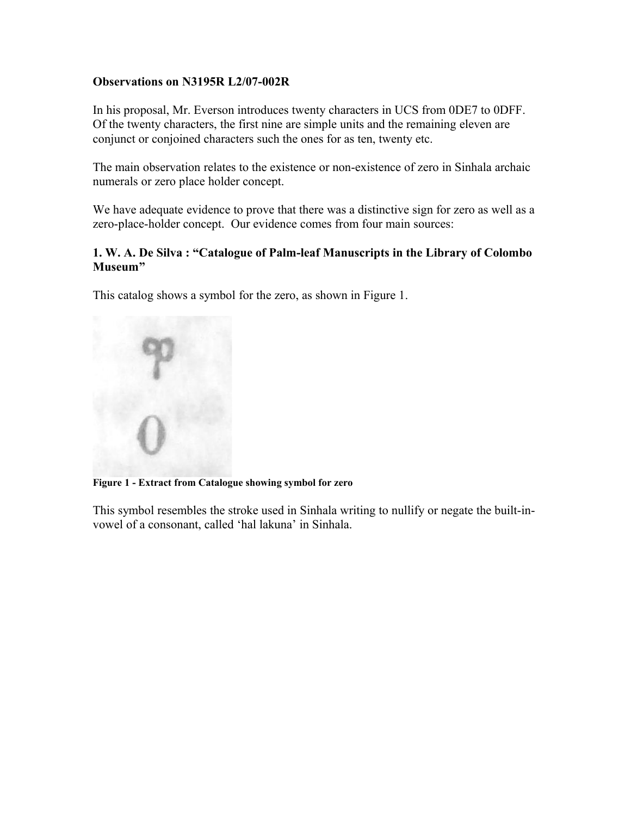# **Observations on N3195R L2/07-002R**

In his proposal, Mr. Everson introduces twenty characters in UCS from 0DE7 to 0DFF. Of the twenty characters, the first nine are simple units and the remaining eleven are conjunct or conjoined characters such the ones for as ten, twenty etc.

The main observation relates to the existence or non-existence of zero in Sinhala archaic numerals or zero place holder concept.

We have adequate evidence to prove that there was a distinctive sign for zero as well as a zero-place-holder concept. Our evidence comes from four main sources:

# **1. W. A. De Silva : "Catalogue of Palm-leaf Manuscripts in the Library of Colombo Museum"**

This catalog shows a symbol for the zero, as shown in Figure 1.



**Figure 1 - Extract from Catalogue showing symbol for zero**

This symbol resembles the stroke used in Sinhala writing to nullify or negate the built-invowel of a consonant, called 'hal lakuna' in Sinhala.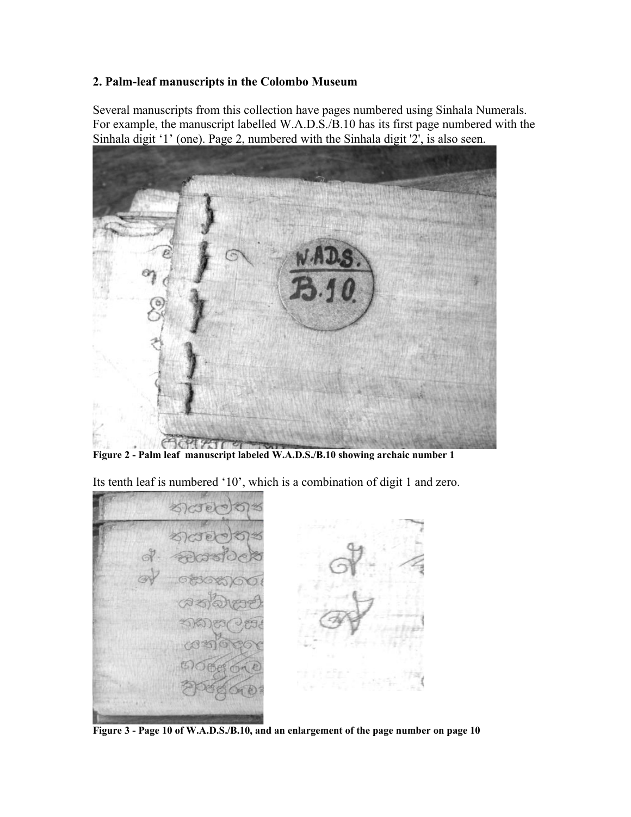## **2. Palm-leaf manuscripts in the Colombo Museum**

Several manuscripts from this collection have pages numbered using Sinhala Numerals. For example, the manuscript labelled W.A.D.S./B.10 has its first page numbered with the Sinhala digit '1' (one). Page 2, numbered with the Sinhala digit '2', is also seen.



**Figure 2 - Palm leaf manuscript labeled W.A.D.S./B.10 showing archaic number 1**

Its tenth leaf is numbered '10', which is a combination of digit 1 and zero.



**Figure 3 - Page 10 of W.A.D.S./B.10, and an enlargement of the page number on page 10**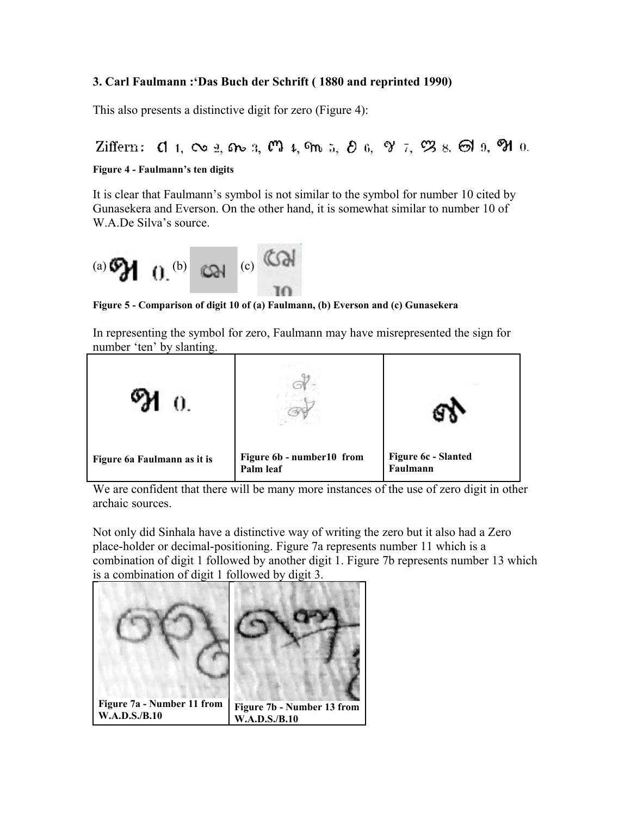# **3. Carl Faulmann :'Das Buch der Schrift ( 1880 and reprinted 1990)**

This also presents a distinctive digit for zero (Figure 4):

Ziffern:  $\mathbf{d}$  1,  $\infty$  2,  $\mathbf{d}$  3,  $\mathbf{d}$  4,  $\mathbf{d}$  5,  $\partial$  6,  $\mathbf{d}$  7,  $\mathbf{d}$  8,  $\mathbf{d}$  9,  $\mathbf{d}$  0.

#### **Figure 4 - Faulmann's ten digits**

It is clear that Faulmann's symbol is not similar to the symbol for number 10 cited by Gunasekera and Everson. On the other hand, it is somewhat similar to number 10 of W.A.De Silva's source.



**Figure 5 - Comparison of digit 10 of (a) Faulmann, (b) Everson and (c) Gunasekera** 

In representing the symbol for zero, Faulmann may have misrepresented the sign for number 'ten' by slanting.



We are confident that there will be many more instances of the use of zero digit in other archaic sources.

Not only did Sinhala have a distinctive way of writing the zero but it also had a Zero place-holder or decimal-positioning. Figure 7a represents number 11 which is a combination of digit 1 followed by another digit 1. Figure 7b represents number 13 which is a combination of digit 1 followed by digit 3.